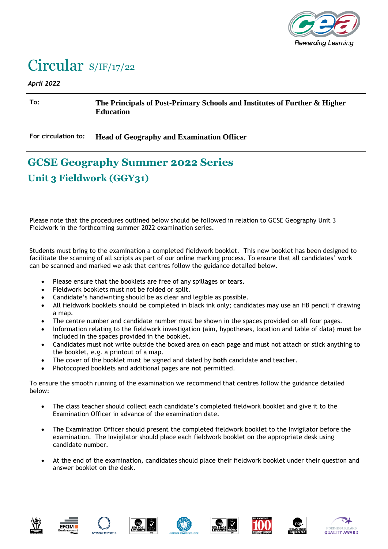

## Circular S/IF/17/22

## *April 2022*

**To: The Principals of Post-Primary Schools and Institutes of Further & Higher Education**

**For circulation to: Head of Geography and Examination Officer**

## **GCSE Geography Summer 2022 Series Unit 3 Fieldwork (GGY31)**

Please note that the procedures outlined below should be followed in relation to GCSE Geography Unit 3 Fieldwork in the forthcoming summer 2022 examination series.

Students must bring to the examination a completed fieldwork booklet. This new booklet has been designed to facilitate the scanning of all scripts as part of our online marking process. To ensure that all candidates' work can be scanned and marked we ask that centres follow the guidance detailed below.

- Please ensure that the booklets are free of any spillages or tears.
- Fieldwork booklets must not be folded or split.
- Candidate's handwriting should be as clear and legible as possible.
- All fieldwork booklets should be completed in black ink only; candidates may use an HB pencil if drawing a map.
- The centre number and candidate number must be shown in the spaces provided on all four pages.
- Information relating to the fieldwork investigation (aim, hypotheses, location and table of data) **must** be included in the spaces provided in the booklet.
- Candidates must **not** write outside the boxed area on each page and must not attach or stick anything to the booklet, e.g. a printout of a map.
- The cover of the booklet must be signed and dated by **both** candidate **and** teacher.
- Photocopied booklets and additional pages are **not** permitted.

To ensure the smooth running of the examination we recommend that centres follow the guidance detailed below:

- The class teacher should collect each candidate's completed fieldwork booklet and give it to the Examination Officer in advance of the examination date.
- The Examination Officer should present the completed fieldwork booklet to the Invigilator before the examination. The Invigilator should place each fieldwork booklet on the appropriate desk using candidate number.
- At the end of the examination, candidates should place their fieldwork booklet under their question and answer booklet on the desk.